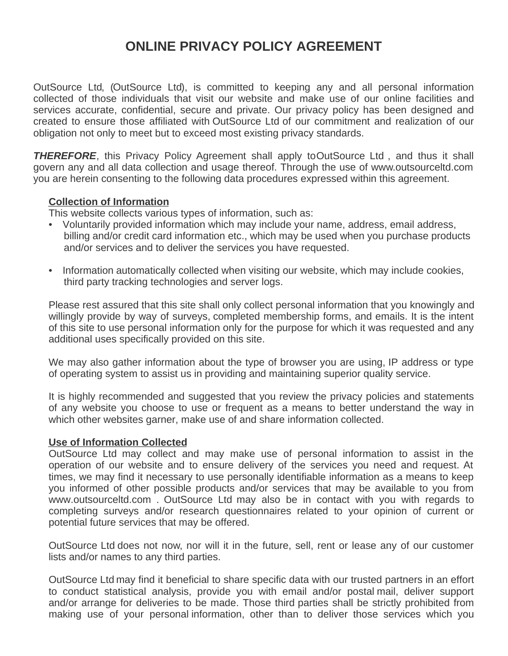# **ONLINE PRIVACY POLICY AGREEMENT**

OutSource Ltd, (OutSource Ltd), is committed to keeping any and all personal information collected of those individuals that visit our website and make use of our online facilities and services accurate, confidential, secure and private. Our privacy policy has been designed and created to ensure those affiliated with OutSource Ltd of our commitment and realization of our obligation not only to meet but to exceed most existing privacy standards.

**THEREFORE**, this Privacy Policy Agreement shall apply toOutSource Ltd, and thus it shall govern any and all data collection and usage thereof. Through the use of www.outsourceltd.com you are herein consenting to the following data procedures expressed within this agreement.

## **Collection of Information**

This website collects various types of information, such as:

- Voluntarily provided information which may include your name, address, email address, billing and/or credit card information etc., which may be used when you purchase products and/or services and to deliver the services you have requested.
- Information automatically collected when visiting our website, which may include cookies, third party tracking technologies and server logs.

Please rest assured that this site shall only collect personal information that you knowingly and willingly provide by way of surveys, completed membership forms, and emails. It is the intent of this site to use personal information only for the purpose for which it was requested and any additional uses specifically provided on this site.

We may also gather information about the type of browser you are using, IP address or type of operating system to assist us in providing and maintaining superior quality service.

It is highly recommended and suggested that you review the privacy policies and statements of any website you choose to use or frequent as a means to better understand the way in which other websites garner, make use of and share information collected.

## **Use of Information Collected**

OutSource Ltd may collect and may make use of personal information to assist in the operation of our website and to ensure delivery of the services you need and request. At times, we may find it necessary to use personally identifiable information as a means to keep you informed of other possible products and/or services that may be available to you from www.outsourceltd.com . OutSource Ltd may also be in contact with you with regards to completing surveys and/or research questionnaires related to your opinion of current or potential future services that may be offered.

OutSource Ltd does not now, nor will it in the future, sell, rent or lease any of our customer lists and/or names to any third parties.

OutSource Ltd may find it beneficial to share specific data with our trusted partners in an effort to conduct statistical analysis, provide you with email and/or postal mail, deliver support and/or arrange for deliveries to be made. Those third parties shall be strictly prohibited from making use of your personal information, other than to deliver those services which you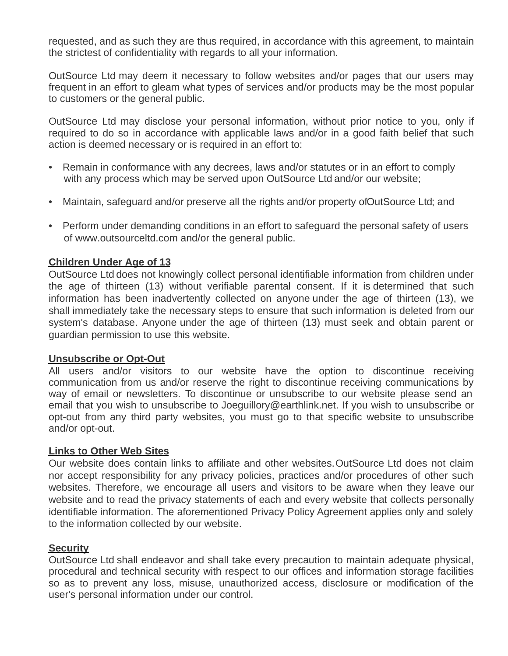requested, and as such they are thus required, in accordance with this agreement, to maintain the strictest of confidentiality with regards to all your information.

OutSource Ltd may deem it necessary to follow websites and/or pages that our users may frequent in an effort to gleam what types of services and/or products may be the most popular to customers or the general public.

OutSource Ltd may disclose your personal information, without prior notice to you, only if required to do so in accordance with applicable laws and/or in a good faith belief that such action is deemed necessary or is required in an effort to:

- Remain in conformance with any decrees, laws and/or statutes or in an effort to comply with any process which may be served upon OutSource Ltd and/or our website;
- Maintain, safeguard and/or preserve all the rights and/or property of Out Source Ltd; and
- Perform under demanding conditions in an effort to safeguard the personal safety of users of www.outsourceltd.com and/or the general public.

## **Children Under Age of 13**

OutSource Ltd does not knowingly collect personal identifiable information from children under the age of thirteen (13) without verifiable parental consent. If it is determined that such information has been inadvertently collected on anyone under the age of thirteen (13), we shall immediately take the necessary steps to ensure that such information is deleted from our system's database. Anyone under the age of thirteen (13) must seek and obtain parent or guardian permission to use this website.

## **Unsubscribe or Opt-Out**

All users and/or visitors to our website have the option to discontinue receiving communication from us and/or reserve the right to discontinue receiving communications by way of email or newsletters. To discontinue or unsubscribe to our website please send an email that you wish to unsubscribe to Joeguillory@earthlink.net. If you wish to unsubscribe or opt-out from any third party websites, you must go to that specific website to unsubscribe and/or opt-out.

## **Links to Other Web Sites**

Our website does contain links to affiliate and other websites.OutSource Ltd does not claim nor accept responsibility for any privacy policies, practices and/or procedures of other such websites. Therefore, we encourage all users and visitors to be aware when they leave our website and to read the privacy statements of each and every website that collects personally identifiable information. The aforementioned Privacy Policy Agreement applies only and solely to the information collected by our website.

## **Security**

OutSource Ltd shall endeavor and shall take every precaution to maintain adequate physical, procedural and technical security with respect to our offices and information storage facilities so as to prevent any loss, misuse, unauthorized access, disclosure or modification of the user's personal information under our control.